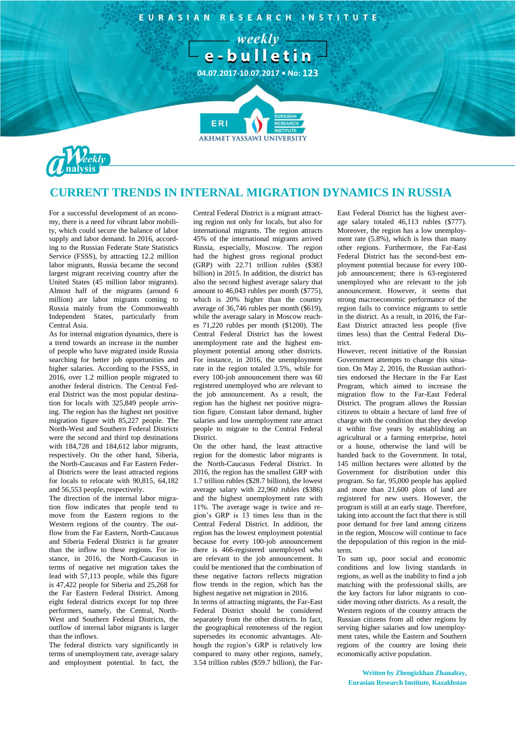

## **CURRENT TRENDS IN INTERNAL MIGRATION DYNAMICS IN RUSSIA**

For a successful development of an economy, there is a need for vibrant labor mobility, which could secure the balance of labor supply and labor demand. In 2016, according to the Russian Federate State Statistics Service (FSSS), by attracting 12.2 million labor migrants, Russia became the second largest migrant receiving country after the United States (45 million labor migrants). Almost half of the migrants (around 6 million) are labor migrants coming to Russia mainly from the Commonwealth Independent States, particularly from Central Asia.

As for internal migration dynamics, there is a trend towards an increase in the number of people who have migrated inside Russia searching for better job opportunities and higher salaries. According to the FSSS, in 2016, over 1.2 million people migrated to another federal districts. The Central Federal District was the most popular destination for locals with 325,849 people arriving. The region has the highest net positive migration figure with 85,227 people. The North-West and Southern Federal Districts were the second and third top destinations with 184,728 and 184,612 labor migrants, respectively. On the other hand, Siberia, the North-Caucasus and Far Eastern Federal Districts were the least attracted regions for locals to relocate with 90,815, 64,182 and 56,553 people, respectively.

The direction of the internal labor migration flow indicates that people tend to move from the Eastern regions to the Western regions of the country. The outflow from the Far Eastern, North-Caucasus and Siberia Federal District is far greater than the inflow to these regions. For instance, in 2016, the North-Caucasus in terms of negative net migration takes the lead with 57,113 people, while this figure is 47,422 people for Siberia and 25,268 for the Far Eastern Federal District. Among eight federal districts except for top three performers, namely, the Central, North-West and Southern Federal Districts, the outflow of internal labor migrants is larger than the inflows.

The federal districts vary significantly in terms of unemployment rate, average salary and employment potential. In fact, the Central Federal District is a migrant attracting region not only for locals, but also for international migrants. The region attracts 45% of the international migrants arrived Russia, especially, Moscow. The region had the highest gross regional product (GRP) with 22.71 trillion rubles (\$383 billion) in 2015. In addition, the district has also the second highest average salary that amount to 46,043 rubles per month (\$775), which is 20% higher than the country average of 36,746 rubles per month (\$619), while the average salary in Moscow reaches 71,220 rubles per month (\$1200). The Central Federal District has the lowest unemployment rate and the highest employment potential among other districts. For instance, in 2016, the unemployment rate in the region totaled 3.5%, while for every 100-job announcement there was 60 registered unemployed who are relevant to the job announcement. As a result, the region has the highest net positive migration figure. Constant labor demand, higher salaries and low unemployment rate attract people to migrate to the Central Federal District.

On the other hand, the least attractive region for the domestic labor migrants is the North-Caucasus Federal District. In 2016, the region has the smallest GRP with 1.7 trillion rubles (\$28.7 billion), the lowest average salary with 22,960 rubles (\$386) and the highest unemployment rate with 11%. The average wage is twice and region's GRP is 13 times less than in the Central Federal District. In addition, the region has the lowest employment potential because for every 100-job announcement there is 466-registered unemployed who are relevant to the job announcement. It could be mentioned that the combination of these negative factors reflects migration flow trends in the region, which has the highest negative net migration in 2016.

In terms of attracting migrants, the Far-East Federal District should be considered separately from the other districts. In fact, the geographical remoteness of the region supersedes its economic advantages. Although the region's GRP is relatively low compared to many other regions, namely, 3.54 trillion rubles (\$59.7 billion), the FarEast Federal District has the highest average salary totaled 46,113 rubles (\$777). Moreover, the region has a low unemployment rate (5.8%), which is less than many other regions. Furthermore, the Far-East Federal District has the second-best employment potential because for every 100 job announcement; there is 63-registered unemployed who are relevant to the job announcement. However, it seems that strong macroeconomic performance of the region fails to convince migrants to settle in the district. As a result, in 2016, the Far-East District attracted less people (five times less) than the Central Federal District.

However, recent initiative of the Russian Government attempts to change this situation. On May 2, 2016, the Russian authorities endorsed the Hectare in the Far East Program, which aimed to increase the migration flow to the Far-East Federal District. The program allows the Russian citizens to obtain a hectare of land free of charge with the condition that they develop it within five years by establishing an agricultural or a farming enterprise, hotel or a house, otherwise the land will be handed back to the Government. In total, 145 million hectares were allotted by the Government for distribution under this program. So far, 95,000 people has applied and more than 21,600 plots of land are registered for new users. However, the program is still at an early stage. Therefore, taking into account the fact that there is still poor demand for free land among citizens in the region, Moscow will continue to face the depopulation of this region in the midterm.

To sum up, poor social and economic conditions and low living standards in regions, as well as the inability to find a job matching with the professional skills, are the key factors for labor migrants to consider moving other districts. As a result, the Western regions of the country attracts the Russian citizens from all other regions by serving higher salaries and low unemployment rates, while the Eastern and Southern regions of the country are losing their economically active population.

**Written by Zhengizkhan Zhanaltay, Eurasian Research Institute, Kazakhstan**